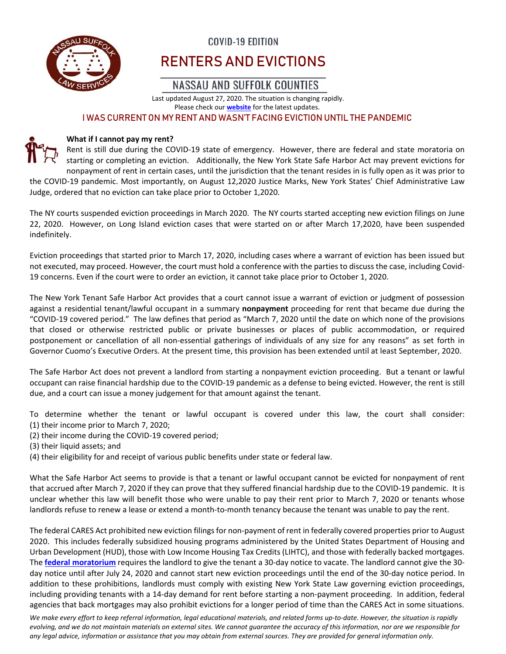

# COVID-19 EDITION

# RENTERS AND EVICTIONS

# NASSAU AND SUFFOLK COUNTIES

Last updated August 27, 2020. The situation is changing rapidly. Please check our **website** for the latest updates.

#### I WAS CURRENT ON MY RENT AND WASN'T FACING EVICTION UNTIL THE PANDEMIC

#### **What if I cannot pay my rent?**

Rent is still due during the COVID-19 state of emergency. However, there are federal and state moratoria on starting or completing an eviction. Additionally, the New York State Safe Harbor Act may prevent evictions for nonpayment of rent in certain cases, until the jurisdiction that the tenant resides in is fully open as it was prior to the COVID‐19 pandemic. Most importantly, on August 12,2020 Justice Marks, New York States' Chief Administrative Law Judge, ordered that no eviction can take place prior to October 1,2020.

The NY courts suspended eviction proceedings in March 2020. The NY courts started accepting new eviction filings on June 22, 2020. However, on Long Island eviction cases that were started on or after March 17,2020, have been suspended indefinitely.

Eviction proceedings that started prior to March 17, 2020, including cases where a warrant of eviction has been issued but not executed, may proceed. However, the court must hold a conference with the parties to discuss the case, including Covid‐ 19 concerns. Even if the court were to order an eviction, it cannot take place prior to October 1, 2020.

The New York Tenant Safe Harbor Act provides that a court cannot issue a warrant of eviction or judgment of possession against a residential tenant/lawful occupant in a summary **nonpayment** proceeding for rent that became due during the "COVID‐19 covered period." The law defines that period as "March 7, 2020 until the date on which none of the provisions that closed or otherwise restricted public or private businesses or places of public accommodation, or required postponement or cancellation of all non‐essential gatherings of individuals of any size for any reasons" as set forth in Governor Cuomo's Executive Orders. At the present time, this provision has been extended until at least September, 2020.

The Safe Harbor Act does not prevent a landlord from starting a nonpayment eviction proceeding. But a tenant or lawful occupant can raise financial hardship due to the COVID‐19 pandemic as a defense to being evicted. However, the rent is still due, and a court can issue a money judgement for that amount against the tenant.

To determine whether the tenant or lawful occupant is covered under this law, the court shall consider: (1) their income prior to March 7, 2020;

- (2) their income during the COVID‐19 covered period;
- (3) their liquid assets; and
- (4) their eligibility for and receipt of various public benefits under state or federal law.

What the Safe Harbor Act seems to provide is that a tenant or lawful occupant cannot be evicted for nonpayment of rent that accrued after March 7, 2020 if they can prove that they suffered financial hardship due to the COVID‐19 pandemic. It is unclear whether this law will benefit those who were unable to pay their rent prior to March 7, 2020 or tenants whose landlords refuse to renew a lease or extend a month-to-month tenancy because the tenant was unable to pay the rent.

The federal CARES Act prohibited new eviction filings for non-payment of rent in federally covered properties prior to August 2020. This includes federally subsidized housing programs administered by the United States Department of Housing and Urban Development (HUD), those with Low Income Housing Tax Credits (LIHTC), and those with federally backed mortgages. The **federal moratorium** requires the landlord to give the tenant a 30-day notice to vacate. The landlord cannot give the 30day notice until after July 24, 2020 and cannot start new eviction proceedings until the end of the 30‐day notice period. In addition to these prohibitions, landlords must comply with existing New York State Law governing eviction proceedings, including providing tenants with a 14‐day demand for rent before starting a non‐payment proceeding. In addition, federal agencies that back mortgages may also prohibit evictions for a longer period of time than the CARES Act in some situations.

We make every effort to keep referral information, legal educational materials, and related forms up-to-date. However, the situation is rapidly evolving, and we do not maintain materials on external sites. We cannot guarantee the accuracy of this information, nor are we responsible for any legal advice, information or assistance that you may obtain from external sources. They are provided for general information only.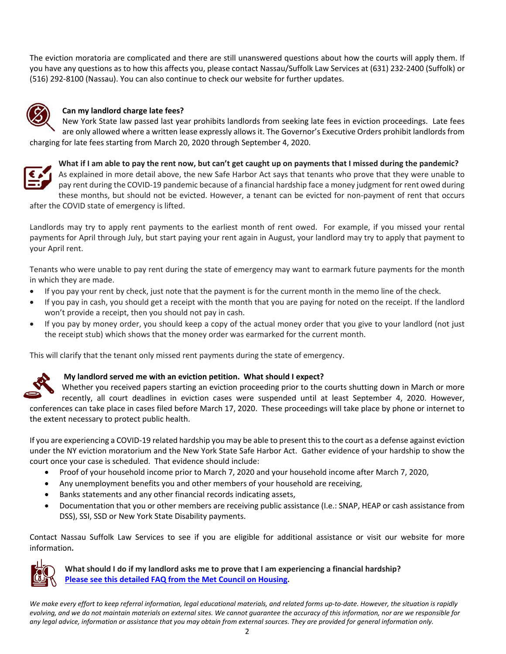The eviction moratoria are complicated and there are still unanswered questions about how the courts will apply them. If you have any questions as to how this affects you, please contact Nassau/Suffolk Law Services at (631) 232‐2400 (Suffolk) or (516) 292‐8100 (Nassau). You can also continue to check our website for further updates.



#### **Can my landlord charge late fees?**

New York State law passed last year prohibits landlords from seeking late fees in eviction proceedings. Late fees are only allowed where a written lease expressly allows it. The Governor's Executive Orders prohibit landlords from charging for late fees starting from March 20, 2020 through September 4, 2020.



What if I am able to pay the rent now, but can't get caught up on payments that I missed during the pandemic?

As explained in more detail above, the new Safe Harbor Act says that tenants who prove that they were unable to pay rent during the COVID‐19 pandemic because of a financial hardship face a money judgment for rent owed during these months, but should not be evicted. However, a tenant can be evicted for non‐payment of rent that occurs after the COVID state of emergency is lifted.

Landlords may try to apply rent payments to the earliest month of rent owed. For example, if you missed your rental payments for April through July, but start paying your rent again in August, your landlord may try to apply that payment to your April rent.

Tenants who were unable to pay rent during the state of emergency may want to earmark future payments for the month in which they are made.

- If you pay your rent by check, just note that the payment is for the current month in the memo line of the check.
- If you pay in cash, you should get a receipt with the month that you are paying for noted on the receipt. If the landlord won't provide a receipt, then you should not pay in cash.
- If you pay by money order, you should keep a copy of the actual money order that you give to your landlord (not just the receipt stub) which shows that the money order was earmarked for the current month.

This will clarify that the tenant only missed rent payments during the state of emergency.



#### **My landlord served me with an eviction petition. What should I expect?**

Whether you received papers starting an eviction proceeding prior to the courts shutting down in March or more recently, all court deadlines in eviction cases were suspended until at least September 4, 2020. However, conferences can take place in cases filed before March 17, 2020. These proceedings will take place by phone or internet to the extent necessary to protect public health.

If you are experiencing a COVID‐19 related hardship you may be able to present thisto the court as a defense against eviction under the NY eviction moratorium and the New York State Safe Harbor Act. Gather evidence of your hardship to show the court once your case is scheduled. That evidence should include:

- Proof of your household income prior to March 7, 2020 and your household income after March 7, 2020,
- Any unemployment benefits you and other members of your household are receiving,
- Banks statements and any other financial records indicating assets,
- Documentation that you or other members are receiving public assistance (I.e.: SNAP, HEAP or cash assistance from DSS), SSI, SSD or New York State Disability payments.

Contact Nassau Suffolk Law Services to see if you are eligible for additional assistance or visit our website for more information**.**



**What should I do if my landlord asks me to prove that I am experiencing a financial hardship? Please see this detailed FAQ from the Met Council on Housing.** 

We make every effort to keep referral information, legal educational materials, and related forms up-to-date. However, the situation is rapidly evolving, and we do not maintain materials on external sites. We cannot quarantee the accuracy of this information, nor are we responsible for any legal advice, information or assistance that you may obtain from external sources. They are provided for general information only.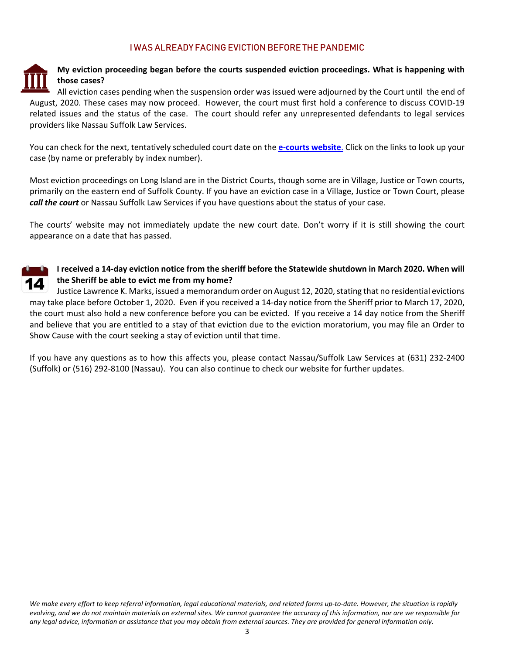## I WAS ALREADY FACING EVICTION BEFORE THE PANDEMIC



## **My eviction proceeding began before the courts suspended eviction proceedings. What is happening with those cases?**

All eviction cases pending when the suspension order was issued were adjourned by the Court until the end of August, 2020. These cases may now proceed. However, the court must first hold a conference to discuss COVID‐19 related issues and the status of the case. The court should refer any unrepresented defendants to legal services providers like Nassau Suffolk Law Services.

You can check for the next, tentatively scheduled court date on the **e‐courts website**. Click on the links to look up your case (by name or preferably by index number).

Most eviction proceedings on Long Island are in the District Courts, though some are in Village, Justice or Town courts, primarily on the eastern end of Suffolk County. If you have an eviction case in a Village, Justice or Town Court, please *call the court* or Nassau Suffolk Law Services if you have questions about the status of your case.

The courts' website may not immediately update the new court date. Don't worry if it is still showing the court appearance on a date that has passed.



### I received a 14-day eviction notice from the sheriff before the Statewide shutdown in March 2020. When will **the Sheriff be able to evict me from my home?**

Justice Lawrence K. Marks, issued a memorandum order on August 12, 2020, stating that no residential evictions may take place before October 1, 2020. Even if you received a 14‐day notice from the Sheriff prior to March 17, 2020, the court must also hold a new conference before you can be evicted. If you receive a 14 day notice from the Sheriff and believe that you are entitled to a stay of that eviction due to the eviction moratorium, you may file an Order to Show Cause with the court seeking a stay of eviction until that time.

If you have any questions as to how this affects you, please contact Nassau/Suffolk Law Services at (631) 232‐2400 (Suffolk) or (516) 292‐8100 (Nassau). You can also continue to check our website for further updates.